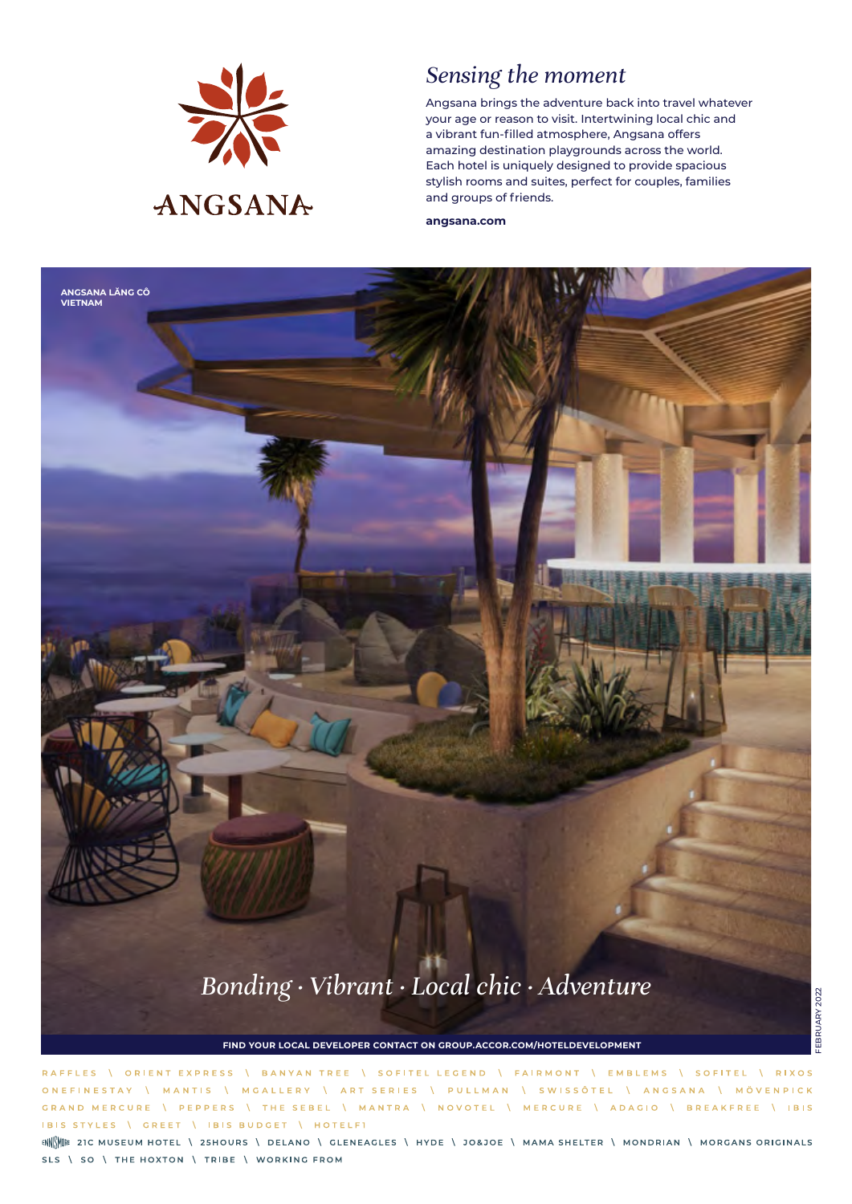

## *Sensing the moment*

Angsana brings the adventure back into travel whatever your age or reason to visit. Intertwining local chic and a vibrant fun-filled atmosphere, Angsana offers amazing destination playgrounds across the world. Each hotel is uniquely designed to provide spacious stylish rooms and suites, perfect for couples, families and groups of friends.

**angsana.com**



**FIND YOUR LOCAL DEVELOPER CONTACT ON GROUP.ACCOR.COM/HOTELDEVELOPMENT**

\ ORIENT EXPRESS \ BANYAN TREE \ SOFITEL LEGEND \ FAIRMONT \ EMBLEMS \ SOFITEL \ RIXOS RAFFLES **ONFFINESTAY** MANTIS \ MGALLERY \ ART SERIES \ PULLMAN \ SWISSÔTEL \ ANGSANA \ MÖVENPICK GRAND MERCURE \ PEPPERS \ THE SEBEL \ MANTRA \ NOVOTEL \ MERCURE \ ADAGIO \ BREAKFREE \ IBIS IBIS STYLES \ GREET | IBIS BUDGET | HOTELFI

ENN<sup>e</sup> 21 C MUSEUM HOTEL \ 25 HOURS \ DELANO \ GLENEAGLES \ HYDE \ JO&JOE \ MAMA SHELTER \ MONDRIAN \ MORGANS ORIGINALS SLS \ SO \ THE HOXTON \ TRIBE \ WORKING FROM